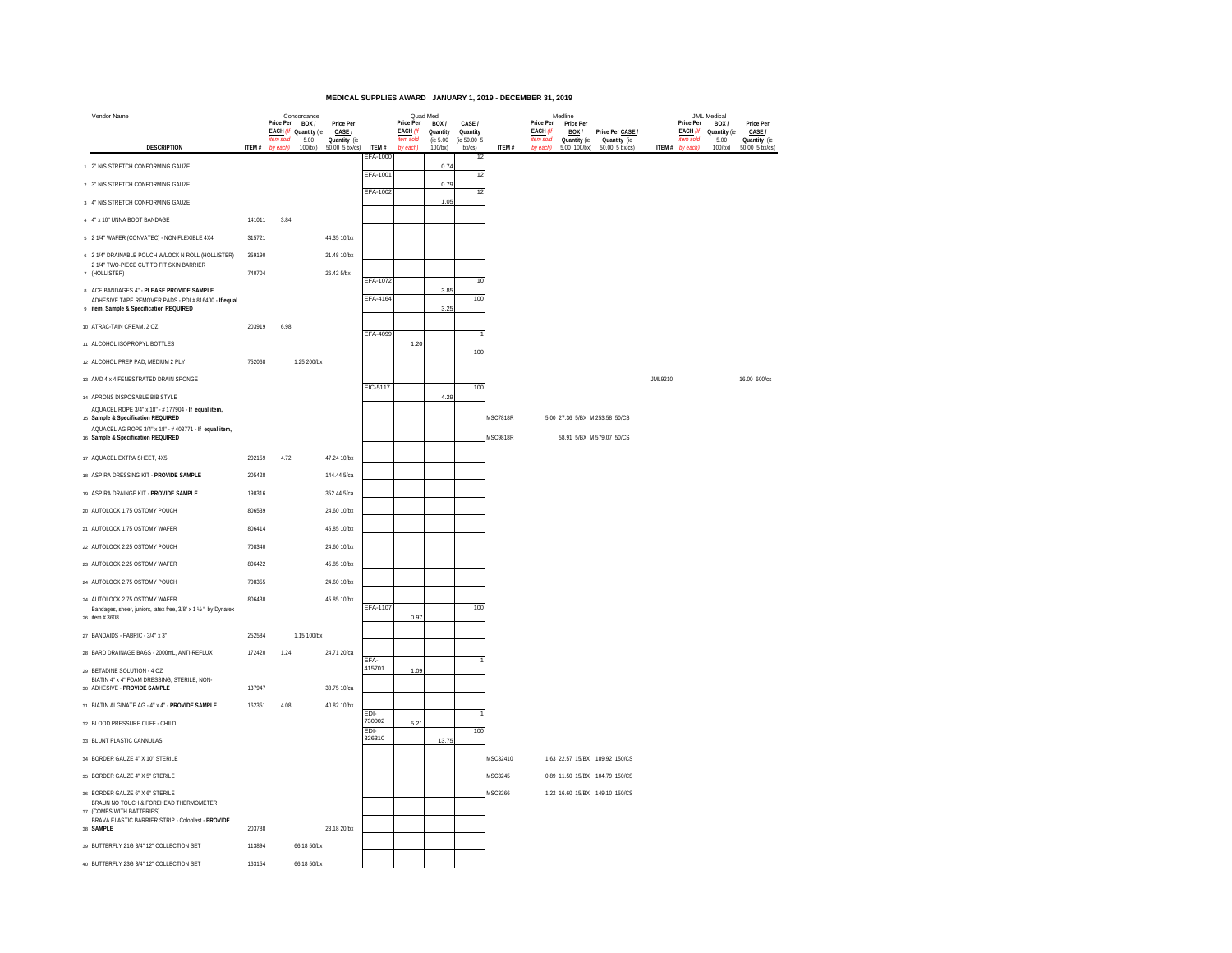## **MEDICAL SUPPLIES AWARD JANUARY 1, 2019 - DECEMBER 31, 2019**

| Vendor Name                                                                                    |        | Price Per | Concordance<br>BOX/           | Price Per              |                    | Price Per                    | Quad Med<br>BOX/     | CASE /                  |                 | Price Per                    | Medline<br>Price Per  |                                  |         | Price Per                    | JML Medical<br>BOX / | Price Per              |
|------------------------------------------------------------------------------------------------|--------|-----------|-------------------------------|------------------------|--------------------|------------------------------|----------------------|-------------------------|-----------------|------------------------------|-----------------------|----------------------------------|---------|------------------------------|----------------------|------------------------|
|                                                                                                |        | item sold | EACH (If Quantity (ie<br>5.00 | CASE /<br>Quantity (ie |                    | <b>EACH (If</b><br>item sold | Quantity<br>(ie 5.00 | Quantity<br>(ie 50.00 5 |                 | <b>EACH (If</b><br>item sold | BOX /<br>Quantity (ie | Price Per CASE /<br>Quantity (ie |         | <b>EACH (If</b><br>item sold | Quantity (ie<br>5.00 | CASE /<br>Quantity (ie |
| <b>DESCRIPTION</b>                                                                             | ITEM # | by each)  | 100/bx)                       | 50.00 5 bx/cs)         | ITEM #<br>EFA-1000 | by each)                     | 100/bx)              | $bxcs$ )<br>12          | ITEM #          | by each)                     | 5.00 100/bx)          | $50.00$ 5 $b$ x/cs)              | ITEM #  | by each)                     | $100$ / $bx$ )       | 50.00 5 bx/cs          |
| 1 2" N/S STRETCH CONFORMING GAUZE                                                              |        |           |                               |                        | EFA-1001           |                              | 0.74                 | 12                      |                 |                              |                       |                                  |         |                              |                      |                        |
| 2 3" N/S STRETCH CONFORMING GAUZE                                                              |        |           |                               |                        | EFA-1002           |                              | 0.7                  | 12                      |                 |                              |                       |                                  |         |                              |                      |                        |
| 3 4" N/S STRETCH CONFORMING GAUZE                                                              |        |           |                               |                        |                    |                              | 1.05                 |                         |                 |                              |                       |                                  |         |                              |                      |                        |
| 4 4" x 10" UNNA BOOT BANDAGE                                                                   | 141011 | 3.84      |                               |                        |                    |                              |                      |                         |                 |                              |                       |                                  |         |                              |                      |                        |
| 6 2 1/4" WAFER (CONVATEC) - NON-FLEXIBLE 4X4                                                   | 315721 |           |                               | 44.35 10/bx            |                    |                              |                      |                         |                 |                              |                       |                                  |         |                              |                      |                        |
| 6 2 1/4" DRAINABLE POUCH W/LOCK N ROLL (HOLLISTER)                                             | 359190 |           |                               | 21.48 10/bx            |                    |                              |                      |                         |                 |                              |                       |                                  |         |                              |                      |                        |
| 2 1/4" TWO-PIECE CUT TO FIT SKIN BARRIER<br>7 (HOLLISTER)                                      | 740704 |           |                               | 26.42 5/bx             |                    |                              |                      |                         |                 |                              |                       |                                  |         |                              |                      |                        |
| 8 ACE BANDAGES 4" - PLEASE PROVIDE SAMPLE                                                      |        |           |                               |                        | EFA-1072           |                              | 3.85                 | 10                      |                 |                              |                       |                                  |         |                              |                      |                        |
| ADHESIVE TAPE REMOVER PADS - PDI #816400 - If equal<br>9 item, Sample & Specification REQUIRED |        |           |                               |                        | EFA-4164           |                              | 3.25                 | 100                     |                 |                              |                       |                                  |         |                              |                      |                        |
| 10 ATRAC-TAIN CREAM, 2 OZ                                                                      | 203919 | 6.98      |                               |                        | EFA-4099           |                              |                      |                         |                 |                              |                       |                                  |         |                              |                      |                        |
| 11 ALCOHOL ISOPROPYL BOTTLES                                                                   |        |           |                               |                        |                    | 1.20                         |                      | 100                     |                 |                              |                       |                                  |         |                              |                      |                        |
| 12 ALCOHOL PREP PAD, MEDIUM 2 PLY                                                              | 752068 |           | 1.25 200/bx                   |                        |                    |                              |                      |                         |                 |                              |                       |                                  |         |                              |                      |                        |
| 13 AMD 4 x 4 FENESTRATED DRAIN SPONGE                                                          |        |           |                               |                        |                    |                              |                      |                         |                 |                              |                       |                                  | JML9210 |                              |                      | 16.00 600/cs           |
| 14 APRONS DISPOSABLE BIB STYLE                                                                 |        |           |                               |                        | EIC-5117           |                              | 4.25                 | 100                     |                 |                              |                       |                                  |         |                              |                      |                        |
| AQUACEL ROPE 3/4" x 18" - # 177904 - If equal item,<br>15 Sample & Specification REQUIRED      |        |           |                               |                        |                    |                              |                      |                         | <b>MSC7818R</b> |                              |                       | 5.00 27.36 5/BX M 253.58 50/CS   |         |                              |                      |                        |
| AQUACEL AG ROPE 3/4" x 18" - #403771 - If equal item,                                          |        |           |                               |                        |                    |                              |                      |                         |                 |                              |                       |                                  |         |                              |                      |                        |
| 16 Sample & Specification REQUIRED                                                             |        |           |                               |                        |                    |                              |                      |                         | <b>MSC9818R</b> |                              |                       | 58.91 5/BX M 579.07 50/CS        |         |                              |                      |                        |
| 17 AQUACEL EXTRA SHEET, 4X5                                                                    | 202159 | 4.72      |                               | 47.24 10/bx            |                    |                              |                      |                         |                 |                              |                       |                                  |         |                              |                      |                        |
| 18 ASPIRA DRESSING KIT - PROVIDE SAMPLE                                                        | 205428 |           |                               | 144.44 5/ca            |                    |                              |                      |                         |                 |                              |                       |                                  |         |                              |                      |                        |
| 19 ASPIRA DRAINGE KIT - PROVIDE SAMPLE                                                         | 190316 |           |                               | 352.44 5/ca            |                    |                              |                      |                         |                 |                              |                       |                                  |         |                              |                      |                        |
| 20 AUTOLOCK 1.75 OSTOMY POUCH                                                                  | 806539 |           |                               | 24.60 10/bx            |                    |                              |                      |                         |                 |                              |                       |                                  |         |                              |                      |                        |
| 21 AUTOLOCK 1.75 OSTOMY WAFER                                                                  | 806414 |           |                               | 45.85 10/bx            |                    |                              |                      |                         |                 |                              |                       |                                  |         |                              |                      |                        |
| 22 AUTOLOCK 2.25 OSTOMY POUCH                                                                  | 708340 |           |                               | 24.60 10/bx            |                    |                              |                      |                         |                 |                              |                       |                                  |         |                              |                      |                        |
| 23 AUTOLOCK 2.25 OSTOMY WAFER                                                                  | 806422 |           |                               | 45.85 10/bx            |                    |                              |                      |                         |                 |                              |                       |                                  |         |                              |                      |                        |
| 24 AUTOLOCK 2.75 OSTOMY POUCH                                                                  | 708355 |           |                               | 24.60 10/bx            |                    |                              |                      |                         |                 |                              |                       |                                  |         |                              |                      |                        |
| 24 AUTOLOCK 2.75 OSTOMY WAFER                                                                  | 806430 |           |                               | 45.85 10/bx            | EFA-1107           |                              |                      | 100                     |                 |                              |                       |                                  |         |                              |                      |                        |
| Bandages, sheer, juniors, latex free, 3/8" x 1 1/2 " by Dynarex<br>26 item # 3608              |        |           |                               |                        |                    | 0.97                         |                      |                         |                 |                              |                       |                                  |         |                              |                      |                        |
| 27 BANDAIDS - FABRIC - 3/4" x 3"                                                               | 252584 |           | 1.15 100/bx                   |                        |                    |                              |                      |                         |                 |                              |                       |                                  |         |                              |                      |                        |
| 28 BARD DRAINAGE BAGS - 2000mL, ANTI-REFLUX                                                    | 172420 | 1.24      |                               | 24.71 20/ca            |                    |                              |                      |                         |                 |                              |                       |                                  |         |                              |                      |                        |
| 29 BETADINE SOLUTION - 4 OZ                                                                    |        |           |                               |                        | EFA-<br>415701     | 1.09                         |                      |                         |                 |                              |                       |                                  |         |                              |                      |                        |
| BIATIN 4" x 4" FOAM DRESSING, STERILE, NON-<br>30 ADHESIVE - PROVIDE SAMPLE                    | 137947 |           |                               | 38.75 10/ca            |                    |                              |                      |                         |                 |                              |                       |                                  |         |                              |                      |                        |
| 31 BIATIN ALGINATE AG - 4" x 4" - PROVIDE SAMPLE                                               | 162351 | 4.08      |                               | 40.82 10/bx            |                    |                              |                      |                         |                 |                              |                       |                                  |         |                              |                      |                        |
| 32 BLOOD PRESSURE CUFF - CHILD                                                                 |        |           |                               |                        | EDI-<br>730002     | 5.21                         |                      |                         |                 |                              |                       |                                  |         |                              |                      |                        |
| 33 BLUNT PLASTIC CANNULAS                                                                      |        |           |                               |                        | EDI-<br>326310     |                              | 13.75                | 100                     |                 |                              |                       |                                  |         |                              |                      |                        |
| 34 BORDER GAUZE 4" X 10" STERILE                                                               |        |           |                               |                        |                    |                              |                      |                         | MSC32410        |                              |                       | 1.63 22.57 15/BX 189.92 150/CS   |         |                              |                      |                        |
| 35 BORDER GAUZE 4" X 5" STERILE                                                                |        |           |                               |                        |                    |                              |                      |                         | MSC3245         |                              |                       | 0.89 11.50 15/BX 104.79 150/CS   |         |                              |                      |                        |
| 36 BORDER GAUZE 6" X 6" STERILE                                                                |        |           |                               |                        |                    |                              |                      |                         | MSC3266         |                              |                       | 1.22 16.60 15/BX 149.10 150/CS   |         |                              |                      |                        |
| BRAUN NO TOUCH & FOREHEAD THERMOMETER<br>37 (COMES WITH BATTERIES)                             |        |           |                               |                        |                    |                              |                      |                         |                 |                              |                       |                                  |         |                              |                      |                        |
| BRAVA ELASTIC BARRIER STRIP - Coloplast - PROVIDE<br>38 SAMPLE                                 | 203788 |           |                               | 23.18 20/bx            |                    |                              |                      |                         |                 |                              |                       |                                  |         |                              |                      |                        |
| 39 BUTTERFLY 21G 3/4" 12" COLLECTION SET                                                       | 113894 |           | 66.18 50/bx                   |                        |                    |                              |                      |                         |                 |                              |                       |                                  |         |                              |                      |                        |
| 40 BUTTERFLY 23G 3/4" 12" COLLECTION SET                                                       | 163154 |           | 66.18 50/bx                   |                        |                    |                              |                      |                         |                 |                              |                       |                                  |         |                              |                      |                        |
|                                                                                                |        |           |                               |                        |                    |                              |                      |                         |                 |                              |                       |                                  |         |                              |                      |                        |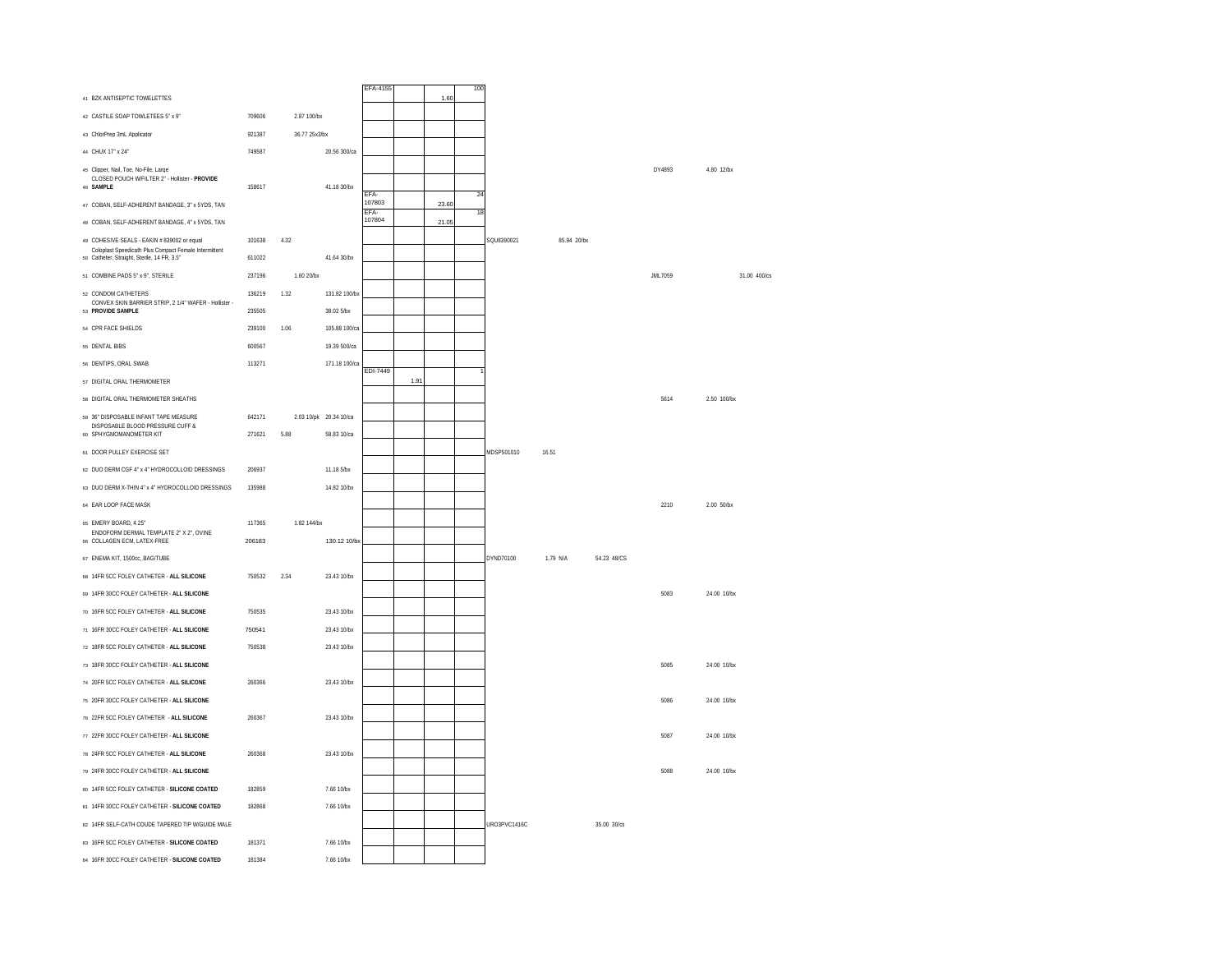| 41 BZK ANTISEPTIC TOWELETTES                                                                         |        |               |                        | EFA-4155       |      | 1.60  | 100 |              |             |             |         |              |
|------------------------------------------------------------------------------------------------------|--------|---------------|------------------------|----------------|------|-------|-----|--------------|-------------|-------------|---------|--------------|
| 42 CASTILE SOAP TOWLETEES 5" x 9"                                                                    | 709606 | 2.87 100/bx   |                        |                |      |       |     |              |             |             |         |              |
| 43 ChlorPrep 3mL Applicator                                                                          | 921387 | 36.77 25x3/bx |                        |                |      |       |     |              |             |             |         |              |
| 44 CHUX 17" x 24"                                                                                    | 749587 |               | 20.56 300/ca           |                |      |       |     |              |             |             |         |              |
| 45 Clinner, Nail, Toe, No-Eile, Large                                                                |        |               |                        |                |      |       |     |              |             |             | DY4893  | 4.80 12/hx   |
| CLOSED POUCH W/FILTER 2" - Hollister - PROVIDE<br>46 SAMPLE                                          | 158617 |               | 41.18 30/bx            | EFA-           |      |       | 24  |              |             |             |         |              |
| 47 COBAN, SELF-ADHERENT BANDAGE, 3" x 5YDS, TAN                                                      |        |               |                        | 107803<br>FFA- |      | 23.60 | 18  |              |             |             |         |              |
| 48 COBAN. SELF-ADHERENT BANDAGE, 4" x 5YDS. TAN                                                      |        |               |                        | 107804         |      | 21.05 |     |              |             |             |         |              |
| 49 COHESIVE SEALS - EAKIN # 839002 or equal<br>Coloplast Speedicath Plus Compact Female Intermittent | 101638 | 4 3 2         |                        |                |      |       |     | SOLI8390021  | 85 94 20/hx |             |         |              |
| so Catheter, Straight, Sterile, 14 FR, 3.5"                                                          | 611022 |               | 41.64 30/bx            |                |      |       |     |              |             |             |         |              |
| 51 COMBINE PADS 5" x 9", STERILE                                                                     | 237196 | 1.60 20/bx    |                        |                |      |       |     |              |             |             | JML7059 | 31.00 400/cs |
| 62 CONDOM CATHETERS<br>CONVEX SKIN BARRIER STRIP, 2 1/4" WAFER - Hollister -                         | 136219 | 1.32          | 131.82 100/bx          |                |      |       |     |              |             |             |         |              |
| 53 PROVIDE SAMPLE                                                                                    | 235505 |               | 38.02 5/bx             |                |      |       |     |              |             |             |         |              |
| 54 CPR FACE SHIELDS                                                                                  | 239100 | 1.06          | 105.88 100/ca          |                |      |       |     |              |             |             |         |              |
| 55 DENTAL BIBS                                                                                       | 600567 |               | 19.39 500/ca           |                |      |       |     |              |             |             |         |              |
| 56 DENTIPS, ORAL SWAB                                                                                | 113271 |               | 171.18 100/ca          | EDI-7449       |      |       |     |              |             |             |         |              |
| 57 DIGITAL ORAL THERMOMETER                                                                          |        |               |                        |                | 1.91 |       |     |              |             |             |         |              |
| 58 DIGITAL ORAL THERMOMETER SHEATHS                                                                  |        |               |                        |                |      |       |     |              |             |             | 5614    | 2.50 100/bx  |
| 59 36" DISPOSABLE INFANT TAPE MEASURE<br>DISPOSABLE BLOOD PRESSURE CUFF &                            | 642171 |               | 2.03 10/pk 20.34 10/ca |                |      |       |     |              |             |             |         |              |
| 60 SPHYGMOMANOMETER KIT                                                                              | 271621 | 5.88          | 58.83 10/ca            |                |      |       |     |              |             |             |         |              |
| 61 DOOR PULLEY EXERCISE SET                                                                          |        |               |                        |                |      |       |     | MDSP501010   | 16.51       |             |         |              |
| 62 DUO DERM CGF 4" x 4" HYDROCOLLOID DRESSINGS                                                       | 206937 |               | 11.18 5/bx             |                |      |       |     |              |             |             |         |              |
| 63 DUO DERM X-THIN 4" x 4" HYDROCOLLOID DRESSINGS                                                    | 135988 |               | 14.82 10/bx            |                |      |       |     |              |             |             |         |              |
| 64 EAR LOOP FACE MASK                                                                                |        |               |                        |                |      |       |     |              |             |             | 2210    | 2.00 50/bx   |
| 65 EMERY BOARD, 4.25"<br>ENDOFORM DERMAL TEMPLATE 2" X 2", OVINE                                     | 117365 | 182 144/hx    |                        |                |      |       |     |              |             |             |         |              |
| 66 COLLAGEN ECM, LATEX-FREE                                                                          | 206183 |               | 130.12 10/bx           |                |      |       |     |              |             |             |         |              |
| 67 ENEMA KIT, 1500cc, BAG/TUBE                                                                       |        |               |                        |                |      |       |     | DYND70100    | 1.79 N/A    | 54.23 48/CS |         |              |
| 68 14FR 5CC FOLEY CATHETER - ALL SILICONE                                                            | 750532 | 2.34          | 23.43 10/bx            |                |      |       |     |              |             |             |         |              |
| 69 14FR 30CC FOLEY CATHETER - ALL SILICONE                                                           |        |               |                        |                |      |       |     |              |             |             | 5083    | 24.00 10/bx  |
| 70 16FR 5CC FOLEY CATHETER - ALL SILICONE                                                            | 750535 |               | 23.43 10/bx            |                |      |       |     |              |             |             |         |              |
| 71 16FR 30CC FOLEY CATHETER - ALL SILICONE                                                           | 750541 |               | 23 43 10/hx            |                |      |       |     |              |             |             |         |              |
| 72 18FR 5CC FOLEY CATHETER - ALL SILICONE                                                            | 750538 |               | 23.43 10/bx            |                |      |       |     |              |             |             |         |              |
| 73 18FR 30CC FOLEY CATHETER - ALL SILICONE                                                           |        |               |                        |                |      |       |     |              |             |             | 5085    | 24.00 10/bx  |
| 74 20FR 5CC FOLEY CATHETER - ALL SILICONE                                                            | 260366 |               | 23.43 10/bx            |                |      |       |     |              |             |             |         |              |
| 75 20FR 30CC FOLEY CATHETER - ALL SILICONE                                                           |        |               |                        |                |      |       |     |              |             |             | 5086    | 24.00 10/bx  |
| 76 22ER 5CC FOLEY CATHETER - ALL SILICONE                                                            | 260367 |               | 23 43 10/hx            |                |      |       |     |              |             |             |         |              |
| 77 22FR 30CC FOLEY CATHETER - ALL SILICONE                                                           |        |               |                        |                |      |       |     |              |             |             | 5087    | 24.00 10/bx  |
| 78 24FR 5CC FOLEY CATHETER - ALL SILICONE                                                            | 260368 |               | 23.43 10/bx            |                |      |       |     |              |             |             |         |              |
| 79 24FR 30CC FOLEY CATHETER - ALL SILICONE                                                           |        |               |                        |                |      |       |     |              |             |             | 5088    | 24.00 10/bx  |
| 80 14ER 5CC FOLEY CATHETER - SILICONE COATED                                                         | 182859 |               | 7.66.10/bx             |                |      |       |     |              |             |             |         |              |
| 81 14FR 30CC FOLEY CATHETER - SILICONE COATED                                                        | 182868 |               | 7.66 10/bx             |                |      |       |     |              |             |             |         |              |
| 82 14FR SELF-CATH COUDE TAPERED TIP W/GUIDE MALE                                                     |        |               |                        |                |      |       |     | URO3PVC1416C |             | 35.00 30/cs |         |              |
| 83 16FR 5CC FOLEY CATHETER - SILICONE COATED                                                         | 181371 |               | 7.66 10/bx             |                |      |       |     |              |             |             |         |              |
| 84 16FR 30CC FOLEY CATHETER - SILICONE COATED                                                        | 181384 |               | 7.66 10/bx             |                |      |       |     |              |             |             |         |              |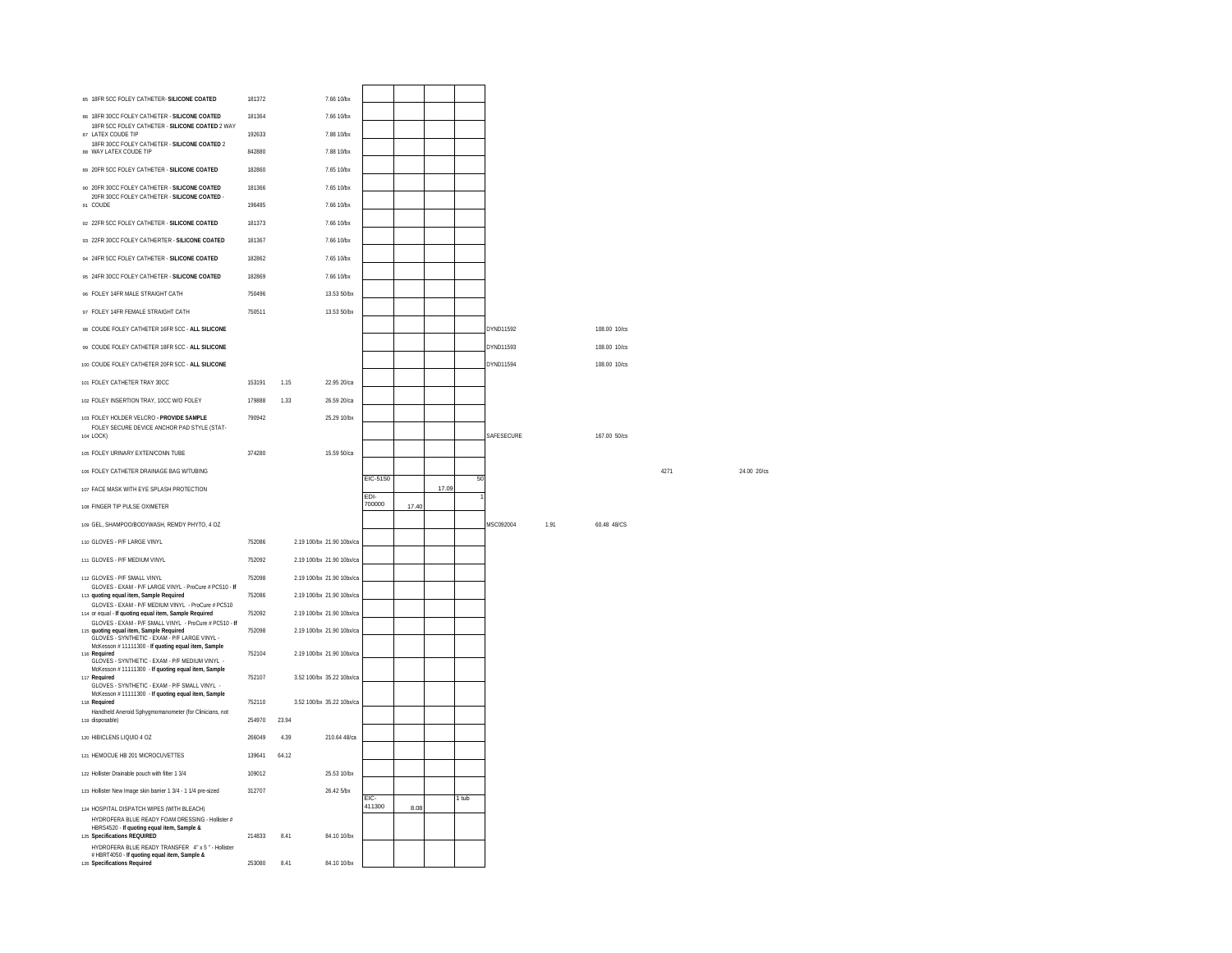| 85 18FR 5CC FOLEY CATHETER- SILICONE COATED                                                                                                        | 181372 |       | 7.66 10/bx                |                |       |       |       |            |      |              |      |             |
|----------------------------------------------------------------------------------------------------------------------------------------------------|--------|-------|---------------------------|----------------|-------|-------|-------|------------|------|--------------|------|-------------|
| 86 18FR 30CC FOLEY CATHETER - SILICONE COATED                                                                                                      | 181364 |       | 7.66 10/bx                |                |       |       |       |            |      |              |      |             |
| 18FR 5CC FOLEY CATHETER - SILICONE COATED 2 WAY<br>87 LATEX COUDE TIP                                                                              | 192633 |       | 788 10/bx                 |                |       |       |       |            |      |              |      |             |
| 18FR 30CC FOLEY CATHETER - SILICONE COATED 2<br>88 WAY LATEX COUDE TIP                                                                             | 842880 |       | 7.88 10/bx                |                |       |       |       |            |      |              |      |             |
| 89 20FR 5CC FOLEY CATHETER - SILICONE COATED                                                                                                       | 182860 |       | 7.65 10/bx                |                |       |       |       |            |      |              |      |             |
| 90 20FR 30CC FOLEY CATHETER - SILICONE COATED                                                                                                      | 181366 |       | 7.65 10/bx                |                |       |       |       |            |      |              |      |             |
| 20FR 30CC FOLEY CATHETER - SILICONE COATED -<br>91 COUDE                                                                                           | 196485 |       | 7.66 10/bx                |                |       |       |       |            |      |              |      |             |
| 92 22FR 5CC FOLEY CATHETER - SILICONE COATED                                                                                                       | 181373 |       | 7.66 10/bx                |                |       |       |       |            |      |              |      |             |
| 93 22FR 30CC FOLEY CATHERTER - SILICONE COATED                                                                                                     | 181367 |       | 7.66 10/bx                |                |       |       |       |            |      |              |      |             |
| 94 24FR 5CC FOLEY CATHETER - SILICONE COATED                                                                                                       | 182862 |       | 7.65 10/bx                |                |       |       |       |            |      |              |      |             |
| 95 24FR 30CC FOLEY CATHETER - SILICONE COATED                                                                                                      | 182869 |       | 7.66 10/bx                |                |       |       |       |            |      |              |      |             |
| 96 FOLEY 14FR MALE STRAIGHT CATH                                                                                                                   | 750496 |       | 13.53 50/bx               |                |       |       |       |            |      |              |      |             |
| 97 FOLEY 14FR FEMALE STRAIGHT CATH                                                                                                                 | 750511 |       | 13.53 50/bx               |                |       |       |       |            |      |              |      |             |
| 98 COUDE FOLEY CATHETER 16FR 5CC - ALL SILICONE                                                                                                    |        |       |                           |                |       |       |       | DYND11592  |      | 108.00 10/cs |      |             |
| 99 COUDE FOLEY CATHETER 18FR 5CC - ALL SILICONE                                                                                                    |        |       |                           |                |       |       |       | DYND11593  |      | 108.00 10/cs |      |             |
| 100 COUDE FOLEY CATHETER 20FR 5CC - ALL SILICONE                                                                                                   |        |       |                           |                |       |       |       | DYND11594  |      | 108.00 10/cs |      |             |
| 101 FOLEY CATHETER TRAY 30CC                                                                                                                       | 153191 | 1.15  | 22.95 20/ca               |                |       |       |       |            |      |              |      |             |
| 102 FOLEY INSERTION TRAY, 10CC W/O FOLEY                                                                                                           | 179888 | 1.33  | 26.59 20/ca               |                |       |       |       |            |      |              |      |             |
| 103 FOLEY HOLDER VELCRO - PROVIDE SAMPLE                                                                                                           | 790942 |       | 25.29 10/bx               |                |       |       |       |            |      |              |      |             |
| FOLEY SECURE DEVICE ANCHOR PAD STYLE (STAT-<br>104 LOCK)                                                                                           |        |       |                           |                |       |       |       | SAFESECURE |      | 167.00 50/cs |      |             |
| 105 FOLEY URINARY EXTEN/CONN TUBE                                                                                                                  | 374280 |       | 15.59.50/ca               |                |       |       |       |            |      |              |      |             |
| 106 FOLEY CATHETER DRAINAGE BAG W/TUBING                                                                                                           |        |       |                           |                |       |       |       |            |      |              | 4271 | 24.00 20/cs |
|                                                                                                                                                    |        |       |                           |                |       |       |       |            |      |              |      |             |
| 107 FACE MASK WITH EYE SPLASH PROTECTION                                                                                                           |        |       |                           | EIC-5150       |       | 17.09 | 50    |            |      |              |      |             |
| 108 FINGER TIP PULSE OXIMETER                                                                                                                      |        |       |                           | EDI-<br>700000 | 17.40 |       |       |            |      |              |      |             |
| 109 GEL, SHAMPOO/BODYWASH, REMDY PHYTO, 4 OZ                                                                                                       |        |       |                           |                |       |       |       | MSC092004  | 1.91 | 60.48 48/CS  |      |             |
| 110 GLOVES - P/F LARGE VINYL                                                                                                                       | 752086 |       | 2.19 100/bx 21.90 10bx/ca |                |       |       |       |            |      |              |      |             |
| 111 GLOVES - P/F MEDIUM VINYL                                                                                                                      | 752092 |       | 2 19 100/bx 21 90 10bx/ca |                |       |       |       |            |      |              |      |             |
| 112 GLOVES - P/F SMALL VINYL                                                                                                                       | 752098 |       | 2.19 100/bx 21.90 10bx/ca |                |       |       |       |            |      |              |      |             |
| GLOVES - EXAM - P/F LARGE VINYL - ProCure # PC510 - If<br>113 quoting equal item, Sample Required                                                  | 752086 |       | 2.19 100/bx 21.90 10bx/ca |                |       |       |       |            |      |              |      |             |
| GLOVES - EXAM - P/F MEDIUM VINYL - ProCure # PC510<br>114 or equal - If quoting equal item, Sample Required                                        | 752092 |       | 2.19 100/bx 21.90 10bx/ca |                |       |       |       |            |      |              |      |             |
| GLOVES - EXAM - P/F SMALL VINYL - ProCure # PC510 - If<br>115 quoting equal item. Sample Required<br>GLOVES - SYNTHETIC - EXAM - P/F LARGE VINYL - | 752098 |       | 2 19 100/bx 21 90 10bx/ca |                |       |       |       |            |      |              |      |             |
| McKesson #11111300 - If quoting equal item, Sample<br>116 Required                                                                                 | 752104 |       | 2.19 100/bx 21.90 10bx/ca |                |       |       |       |            |      |              |      |             |
| GLOVES - SYNTHETIC - EXAM - P/F MEDIUM VINYL -<br>McKesson #11111300 - If quoting equal item, Sample<br>117 Required                               |        |       |                           |                |       |       |       |            |      |              |      |             |
| GLOVES - SYNTHETIC - EXAM - P/F SMALL VINYL -<br>McKesson #11111300 - If quoting equal item, Sample                                                | 752107 |       | 3.52 100/bx 35.22 10bx/ca |                |       |       |       |            |      |              |      |             |
| 118 Required                                                                                                                                       | 752110 |       | 3.52 100/bx 35.22 10bx/ca |                |       |       |       |            |      |              |      |             |
| Handheld Aneroid Sphygmomanometer (for Clinicians, not<br>119 disposable)                                                                          | 254970 | 23.94 |                           |                |       |       |       |            |      |              |      |             |
| 120 HIBICLENS LIQUID 4 OZ                                                                                                                          | 266049 | 4.39  | 210.64 48/ca              |                |       |       |       |            |      |              |      |             |
| 121 HEMOCUE HB 201 MICROCUVETTES                                                                                                                   | 139641 | 64.12 |                           |                |       |       |       |            |      |              |      |             |
| 122 Hollister Drainable pouch with filter 1 3/4                                                                                                    | 109012 |       | 25.53 10/bx               |                |       |       |       |            |      |              |      |             |
| 123 Hollister New Image skin barrier 1 3/4 - 1 1/4 pre-sized                                                                                       | 312707 |       | 26.42 5/bx                | FIC-           |       |       | 1 tub |            |      |              |      |             |
| 124 HOSPITAL DISPATCH WIPES (WITH BLEACH)<br>HYDROFERA BLUE READY FOAM DRESSING - Hollister #                                                      |        |       |                           | 411300         | 8.08  |       |       |            |      |              |      |             |
| HBRS4520 - If quoting equal item, Sample &<br>125 Specifications REQUIRED<br>HYDROFERA BLUE READY TRANSFER 4" x 5 " - Hollister                    | 214833 | 8.41  | 84.10 10/bx               |                |       |       |       |            |      |              |      |             |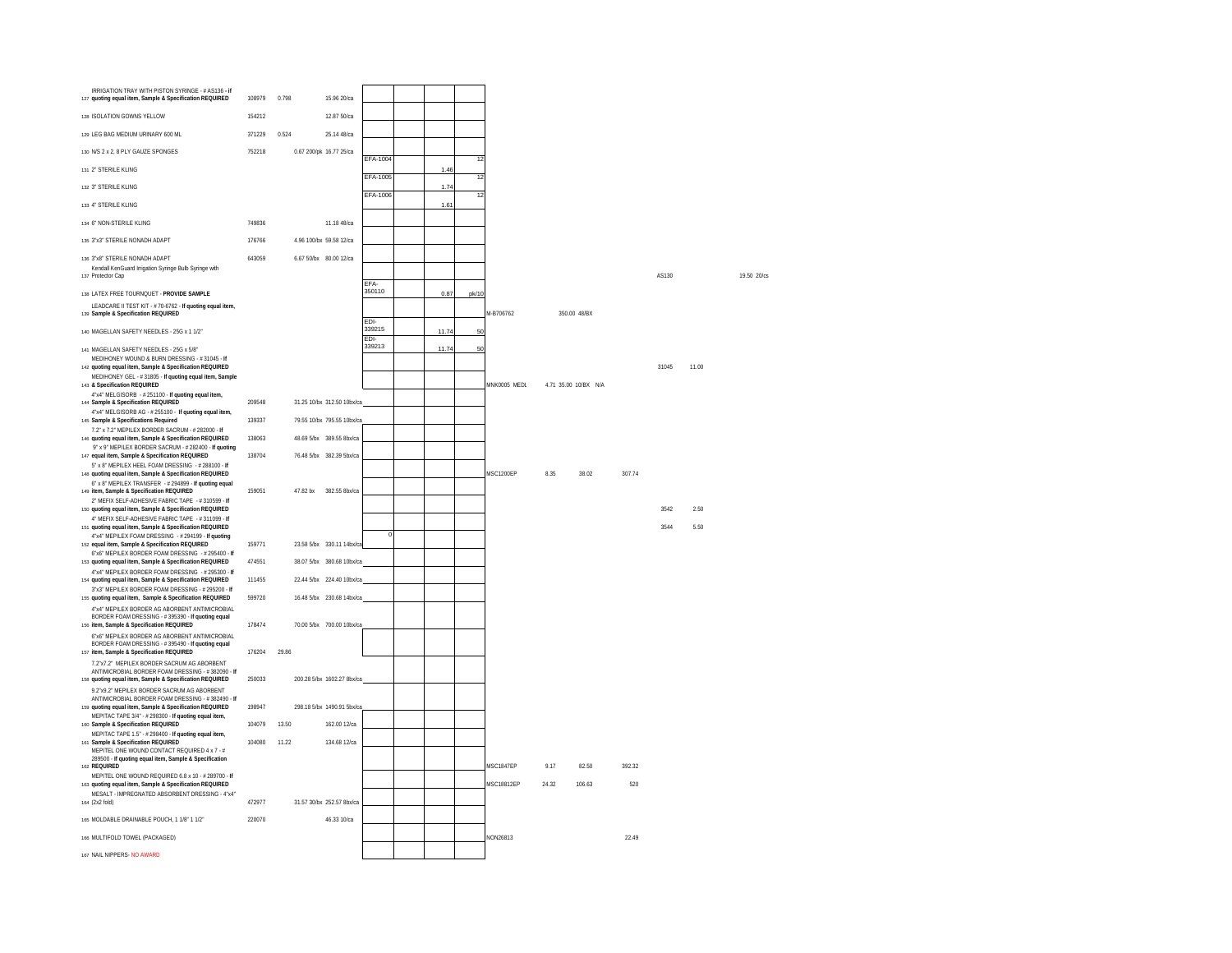| IRRIGATION TRAY WITH PISTON SYRINGE - # AS136 - If<br>127 quoting equal item. Sample & Specification REQUIRED                                               | 108979 | 0.798    | 15.96.20/ca                |                |       |       |                  |       |                      |        |       |       |             |
|-------------------------------------------------------------------------------------------------------------------------------------------------------------|--------|----------|----------------------------|----------------|-------|-------|------------------|-------|----------------------|--------|-------|-------|-------------|
| 128 ISOLATION GOWNS YELLOW                                                                                                                                  | 154212 |          | 12.87 50/ca                |                |       |       |                  |       |                      |        |       |       |             |
| 129 LEG BAG MEDIUM URINARY 600 ML                                                                                                                           | 371229 | 0.524    | 25.14 48/ca                |                |       |       |                  |       |                      |        |       |       |             |
| 130 N/S 2 x 2, 8 PLY GAUZE SPONGES                                                                                                                          | 752218 |          | 0.67 200/pk 16.77 25/ca    |                |       |       |                  |       |                      |        |       |       |             |
| 131 2" STERILE KLING                                                                                                                                        |        |          |                            | EFA-1004       | 1.46  | 12    |                  |       |                      |        |       |       |             |
| 132 3" STERILE KLING                                                                                                                                        |        |          |                            | EFA-1005       | 1.74  | 12    |                  |       |                      |        |       |       |             |
| 133 4" STERILE KLING                                                                                                                                        |        |          |                            | EFA-1006       | 1.61  | 12    |                  |       |                      |        |       |       |             |
| 134 6" NON-STERILE KLING                                                                                                                                    | 749836 |          | 11.18 48/ca                |                |       |       |                  |       |                      |        |       |       |             |
| 135 3"x3" STERILE NONADH ADAPT                                                                                                                              | 176766 |          | 4.96 100/bx 59.58 12/ca    |                |       |       |                  |       |                      |        |       |       |             |
| 136 3"x8" STERILE NONADH ADAPT<br>Kendall KenGuard Irrigation Syringe Bulb Syringe with<br>137 Protector Cap                                                | 643059 |          | 6.67 50/bx 80.00 12/ca     | EFA-           |       |       |                  |       |                      |        | AS130 |       | 19.50 20/cs |
| 138 LATEX FREE TOURNOUET - PROVIDE SAMPLE                                                                                                                   |        |          |                            | 350110         | 0.87  | pk/10 |                  |       |                      |        |       |       |             |
| LEADCARE II TEST KIT - # 70-6762 - If quoting equal item,<br>139 Sample & Specification REQUIRED                                                            |        |          |                            | FDI-           |       |       | M-B706762        |       | 350.00 48/BX         |        |       |       |             |
| 140 MAGELLAN SAFETY NEEDLES - 25G x 1 1/2"                                                                                                                  |        |          |                            | 339215<br>EDI- | 11.74 | 50    |                  |       |                      |        |       |       |             |
| 141 MAGELLAN SAFETY NEEDLES - 25G x 5/8"<br>MEDIHONEY WOUND & BURN DRESSING - #31045 - If                                                                   |        |          |                            | 339213         | 11.74 | 50    |                  |       |                      |        |       |       |             |
| 142 quoting equal item, Sample & Specification REQUIRED<br>MEDIHONEY GEL - #31805 - If quoting equal item, Sample                                           |        |          |                            |                |       |       |                  |       |                      |        | 31045 | 11.00 |             |
| 143 & Specification REQUIRED<br>4"x4" MELGISORB - #251100 - If quoting equal item,                                                                          |        |          |                            |                |       |       | MNK0005 MEDL     |       | 4.71 35.00 10/BX N/A |        |       |       |             |
| 144 Sample & Specification REQUIRED<br>4"x4" MELGISORB AG - #255100 - If quoting equal item,                                                                | 209548 |          | 31.25 10/bx 312.50 10bx/ca |                |       |       |                  |       |                      |        |       |       |             |
| 145 Sample & Specifications Required<br>7.2" x 7.2" MEPILEX BORDER SACRUM - # 282000 - If                                                                   | 139337 |          | 79 55 10/hx 795 55 10hx/ca |                |       |       |                  |       |                      |        |       |       |             |
| 146 quoting equal item, Sample & Specification REQUIRED<br>9" x 9" MEPILEX BORDER SACRUM - #282400 - If quoting                                             | 138063 |          | 48.69.5/bx 389.55.8bx/ca   |                |       |       |                  |       |                      |        |       |       |             |
| 147 equal item. Sample & Specification REQUIRED<br>5" x 8" MEPILEX HEEL FOAM DRESSING - # 288100 - If                                                       | 138704 |          | 76.48 5/bx 382.39 5bx/ca   |                |       |       |                  |       |                      |        |       |       |             |
| 148 quoting equal item, Sample & Specification REQUIRED<br>6" x 8" MEPILEX TRANSFER - #294899 - If quoting equal                                            |        |          |                            |                |       |       | <b>MSC1200EP</b> | 8.35  | 38.02                | 307.74 |       |       |             |
| 149 item, Sample & Specification REQUIRED<br>2" MEFIX SELF-ADHESIVE FABRIC TAPE - #310599 - If                                                              | 159051 | 47.82 bx | 382.55 8bx/ca              |                |       |       |                  |       |                      |        |       |       |             |
| 150 quoting equal item, Sample & Specification REQUIRED<br>4" MEFIX SELF-ADHESIVE FABRIC TAPE - #311099 - If                                                |        |          |                            |                |       |       |                  |       |                      |        | 3542  | 2.50  |             |
| 151 quoting equal item, Sample & Specification REQUIRED<br>4"x4" MEPILEX FOAM DRESSING - #294199 - If quoting                                               |        |          |                            | $\Omega$       |       |       |                  |       |                      |        | 3544  | 5.50  |             |
| 152 equal item, Sample & Specification REQUIRED<br>6"x6" MEPILEX BORDER FOAM DRESSING - # 295400 - If                                                       | 159771 |          | 23.58 5/bx 330.11 14bx/ca  |                |       |       |                  |       |                      |        |       |       |             |
| 153 quoting equal item, Sample & Specification REQUIRED<br>4"x4" MEPILEX BORDER FOAM DRESSING - # 295300 - If                                               | 474551 |          | 38.07 5/bx 380.68 10bx/ca  |                |       |       |                  |       |                      |        |       |       |             |
| 154 quoting equal item, Sample & Specification REQUIRED<br>3"x3" MEPILEX BORDER FOAM DRESSING - # 295200 - If                                               | 111455 |          | 22.44 5/bx 224.40 10bx/ca  |                |       |       |                  |       |                      |        |       |       |             |
| 155 quoting equal item, Sample & Specification REQUIRED<br>4"x4" MEPILEX BORDER AG ABORBENT ANTIMICROBIAL                                                   | 599720 |          | 16.48 5/bx 230.68 14bx/ca  |                |       |       |                  |       |                      |        |       |       |             |
| BORDER FOAM DRESSING - #395390 - If quoting equal<br>156 item, Sample & Specification REQUIRED                                                              | 178474 |          | 70.00 5/bx 700.00 10bx/ca  |                |       |       |                  |       |                      |        |       |       |             |
| 6"x6" MEPILEX BORDER AG ABORBENT ANTIMICROBIAL<br>BORDER FOAM DRESSING - #395490 - If quoting equal<br>157 item, Sample & Specification REQUIRED            | 176204 | 29.86    |                            |                |       |       |                  |       |                      |        |       |       |             |
| 7.2"x7.2" MEPILEX BORDER SACRUM AG ABORBENT<br>ANTIMICROBIAL BORDER FOAM DRESSING - #382090 - If<br>158 quoting equal item, Sample & Specification REQUIRED | 250033 |          | 200.28 5/bx 1602.27 8bx/ca |                |       |       |                  |       |                      |        |       |       |             |
| 9.2"x9.2" MEPILEX BORDER SACRUM AG ABORBENT<br>ANTIMICROBIAL BORDER FOAM DRESSING - #382490 - If<br>159 quoting equal item, Sample & Specification REQUIRED | 198947 |          | 298.18 5/bx 1490.91 5bx/ca |                |       |       |                  |       |                      |        |       |       |             |
| MEPITAC TAPE 3/4" - # 298300 - If quoting equal item,<br>160 Sample & Specification REQUIRED                                                                | 104079 | 13.50    | 162.00 12/ca               |                |       |       |                  |       |                      |        |       |       |             |
| MEPITAC TAPE 1.5" - # 298400 - If quoting equal item,<br>161 Sample & Specification REQUIRED                                                                | 104080 | 11.22    | 134.68 12/ca               |                |       |       |                  |       |                      |        |       |       |             |
| MEPITEL ONE WOUND CONTACT REQUIRED 4 x 7 - #<br>289500 - If quoting equal item, Sample & Specification<br>162 REQUIRED                                      |        |          |                            |                |       |       | MSC1847EP        | 9.17  | 82.50                | 392.32 |       |       |             |
| MEPITEL ONE WOUND REQUIRED 6.8 x 10 - # 289700 - If<br>163 quoting equal item, Sample & Specification REQUIRED                                              |        |          |                            |                |       |       | MSC18812EP       | 24.32 | 106.63               | 520    |       |       |             |
| MESALT - IMPREGNATED ABSORBENT DRESSING - 4"x4"<br>164 (2x2 fold)                                                                                           | 472977 |          | 31.57 30/bx 252.57 8bx/ca  |                |       |       |                  |       |                      |        |       |       |             |
| 165 MOLDABLE DRAINABLE POUCH. 1 1/8" 1 1/2"                                                                                                                 | 220070 |          | 46.33 10/ca                |                |       |       |                  |       |                      |        |       |       |             |
| 166 MULTIFOLD TOWEL (PACKAGED)                                                                                                                              |        |          |                            |                |       |       | NON26813         |       |                      | 22.49  |       |       |             |
| 167 NAIL NIPPERS- NO AWARD                                                                                                                                  |        |          |                            |                |       |       |                  |       |                      |        |       |       |             |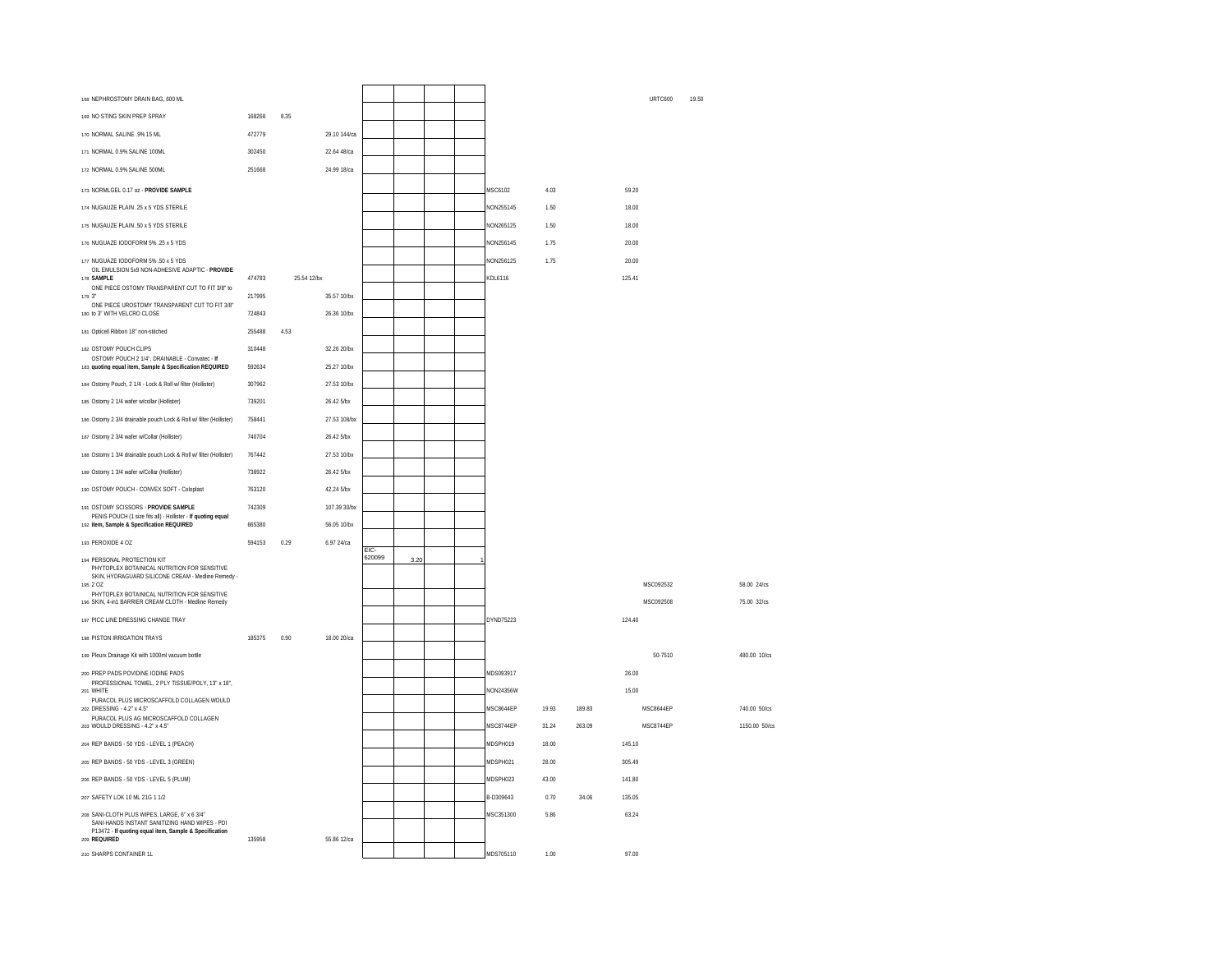| 168 NEPHROSTOMY DRAIN BAG, 600 ML                                                                                                                                         |        |             |              |        |      |  |           |       |        |        | <b>URTC600</b> | 19.50 |               |
|---------------------------------------------------------------------------------------------------------------------------------------------------------------------------|--------|-------------|--------------|--------|------|--|-----------|-------|--------|--------|----------------|-------|---------------|
| 169 NO STING SKIN PREP SPRAY                                                                                                                                              | 168268 | 8.35        |              |        |      |  |           |       |        |        |                |       |               |
| 170 NORMAL SALINE .9% 15 ML                                                                                                                                               | 472779 |             | 29.10 144/ca |        |      |  |           |       |        |        |                |       |               |
| 171 NORMAL 0.9% SALINE 100ML                                                                                                                                              | 302450 |             | 22.64 48/ca  |        |      |  |           |       |        |        |                |       |               |
| 172 NORMAL 0.9% SALINE 500ML                                                                                                                                              | 251668 |             | 24.99 18/ca  |        |      |  |           |       |        |        |                |       |               |
| 173 NORMLGEL 0.17 oz - PROVIDE SAMPLE                                                                                                                                     |        |             |              |        |      |  | MSC6102   | 4.03  |        | 59.20  |                |       |               |
| 174 NUGAUZE PLAIN .25 x 5 YDS STERILE                                                                                                                                     |        |             |              |        |      |  | NON255145 | 1.50  |        | 18.00  |                |       |               |
| 175 NUGAUZE PLAIN .50 x 5 YDS STERILE                                                                                                                                     |        |             |              |        |      |  | NON265125 | 1.50  |        | 18.00  |                |       |               |
| 176 NUGUAZE IODOFORM 5% .25 x 5 YDS                                                                                                                                       |        |             |              |        |      |  | NON256145 | 1.75  |        | 20.00  |                |       |               |
| 177 NUGUAZE IODOFORM 5% .50 x 5 YDS                                                                                                                                       |        |             |              |        |      |  | NON256125 | 1.75  |        | 20.00  |                |       |               |
| OIL EMULSION 5x9 NON-ADHESIVE ADAPTIC - PROVIDE<br>178 SAMPLE                                                                                                             | 474783 | 25.54 12/bx |              |        |      |  | KDL6116   |       |        | 125.41 |                |       |               |
| ONE PIECE OSTOMY TRANSPARENT CUT TO FIT 3/8" to<br>179 3"                                                                                                                 | 217995 |             | 35.57 10/bx  |        |      |  |           |       |        |        |                |       |               |
| ONE PIECE UROSTOMY TRANSPARENT CUT TO FIT 3/8"<br>180 to 3" WITH VELCRO CLOSE                                                                                             | 724843 |             | 26.36 10/bx  |        |      |  |           |       |        |        |                |       |               |
| 181 Opticell Ribbon 18" non-stitched                                                                                                                                      | 255488 | 4.53        |              |        |      |  |           |       |        |        |                |       |               |
| 182 OSTOMY POUCH CLIPS                                                                                                                                                    | 310448 |             | 32.26 20/bx  |        |      |  |           |       |        |        |                |       |               |
| OSTOMY POUCH 2 1/4", DRAINABLE - Convatec - If                                                                                                                            |        |             |              |        |      |  |           |       |        |        |                |       |               |
| 183 quoting equal item, Sample & Specification REQUIRED                                                                                                                   | 592634 |             | 25.27 10/bx  |        |      |  |           |       |        |        |                |       |               |
| 184 Ostomy Pouch, 2 1/4 - Lock & Roll w/ filter (Hollister)                                                                                                               | 307962 |             | 27.53 10/bx  |        |      |  |           |       |        |        |                |       |               |
| 185 Ostomy 2 1/4 wafer w/collar (Hollister)                                                                                                                               | 739201 |             | 26.42 5/bx   |        |      |  |           |       |        |        |                |       |               |
| 186 Ostomy 2 3/4 drainable pouch Lock & Roll w/ filter (Hollister)                                                                                                        | 758441 |             | 27.53.108/bx |        |      |  |           |       |        |        |                |       |               |
| 187 Ostomy 2 3/4 wafer w/Collar (Hollister)                                                                                                                               | 740704 |             | 26.42 5/bx   |        |      |  |           |       |        |        |                |       |               |
| 188 Ostomy 1 3/4 drainable pouch Lock & Roll w/ filter (Hollister)                                                                                                        | 767442 |             | 27.53 10/bx  |        |      |  |           |       |        |        |                |       |               |
| 189 Ostomy 1 3/4 wafer w/Collar (Hollister)                                                                                                                               | 738922 |             | 26.42 5/bx   |        |      |  |           |       |        |        |                |       |               |
| 190 OSTOMY POUCH - CONVEX SOFT - Coloplast                                                                                                                                | 763120 |             | 42.24 5/bx   |        |      |  |           |       |        |        |                |       |               |
| 191 OSTOMY SCISSORS - PROVIDE SAMPLE<br>PENIS POUCH (1 size fits all) - Hollister - If quoting equal                                                                      | 742309 |             | 107.39 30/bx |        |      |  |           |       |        |        |                |       |               |
| 192 item, Sample & Specification REQUIRED                                                                                                                                 | 665380 |             | 56.05 10/bx  |        |      |  |           |       |        |        |                |       |               |
| 193 PEROXIDE 4 OZ                                                                                                                                                         | 594153 | 0.29        | 6.97 24/ca   | FIC-   |      |  |           |       |        |        |                |       |               |
| 194 PERSONAL PROTECTION KIT<br>PHYTOPLEX BOTAINICAL NUTRITION FOR SENSITIVE<br>SKIN, HYDRAGUARD SILICONE CREAM - Medline Remedy                                           |        |             |              | 620099 | 3.20 |  |           |       |        |        |                |       |               |
| 195 2 OZ<br>PHYTOPLEX BOTAINICAL NUTRITION FOR SENSITIVE                                                                                                                  |        |             |              |        |      |  |           |       |        |        | MSC092532      |       | 58.00 24/cs   |
| 196 SKIN, 4-in1 BARRIER CREAM CLOTH - Medline Remedy                                                                                                                      |        |             |              |        |      |  |           |       |        |        | MSC092508      |       | 75.00 32/cs   |
| 197 PICC LINE DRESSING CHANGE TRAY                                                                                                                                        |        |             |              |        |      |  | DYND75223 |       |        | 124 40 |                |       |               |
| 198 PISTON IRRIGATION TRAYS                                                                                                                                               | 185375 | 0.90        | 18.00 20/ca  |        |      |  |           |       |        |        |                |       |               |
| 199 Pleurx Drainage Kit with 1000ml vacuum bottle                                                                                                                         |        |             |              |        |      |  |           |       |        |        | 50-7510        |       | 480.00 10/cs  |
| 200 PREP PADS POVIDINE IODINE PADS<br>PROFESSIONAL TOWEL, 2 PLY TISSUE/POLY, 13" x 18",                                                                                   |        |             |              |        |      |  | MDS093917 |       |        | 26.00  |                |       |               |
| 201 WHITE<br>PURACOL PLUS MICROSCAFFOLD COLLAGEN WOULD                                                                                                                    |        |             |              |        |      |  | NON24356W |       |        | 15.00  |                |       |               |
| 202 DRESSING - 4.2" x 4.5"<br>PURACOL PLUS AG MICROSCAFFOLD COLLAGEN                                                                                                      |        |             |              |        |      |  | MSC8644EP | 19 93 | 18983  |        | MSC8644EP      |       | 740.00 50/cs  |
| 203 WOULD DRESSING - 4.2" x 4.5"                                                                                                                                          |        |             |              |        |      |  | MSC8744EP | 31.24 | 263.09 |        | MSC8744FP      |       | 1150.00 50/cs |
| 204 REP BANDS - 50 YDS - LEVEL 1 (PEACH)                                                                                                                                  |        |             |              |        |      |  | MDSPH019  | 18.00 |        | 145.10 |                |       |               |
| 205 REP BANDS - 50 YDS - LEVEL 3 (GREEN)                                                                                                                                  |        |             |              |        |      |  | MDSPH021  | 28.00 |        | 305.49 |                |       |               |
| 206 REP BANDS - 50 YDS - LEVEL 5 (PLUM)                                                                                                                                   |        |             |              |        |      |  | MDSPH023  | 43.00 |        | 141.80 |                |       |               |
| 207 SAFETY LOK 10 ML 21G 1 1/2                                                                                                                                            |        |             |              |        |      |  | B-D309643 | 0.70  | 34.06  | 135.05 |                |       |               |
| 208 SANI-CLOTH PLUS WIPES, LARGE, 6" x 6 3/4"<br>SANI-HANDS INSTANT SANITIZING HAND WIPES - PDI<br>P13472 - If quoting equal item, Sample & Specification<br>209 REQUIRED | 135958 |             | 55.86 12/ca  |        |      |  | MSC351300 | 5.86  |        | 63.24  |                |       |               |
| 210 SHARPS CONTAINER 1L                                                                                                                                                   |        |             |              |        |      |  | MDS705110 | 1.00  |        | 97.00  |                |       |               |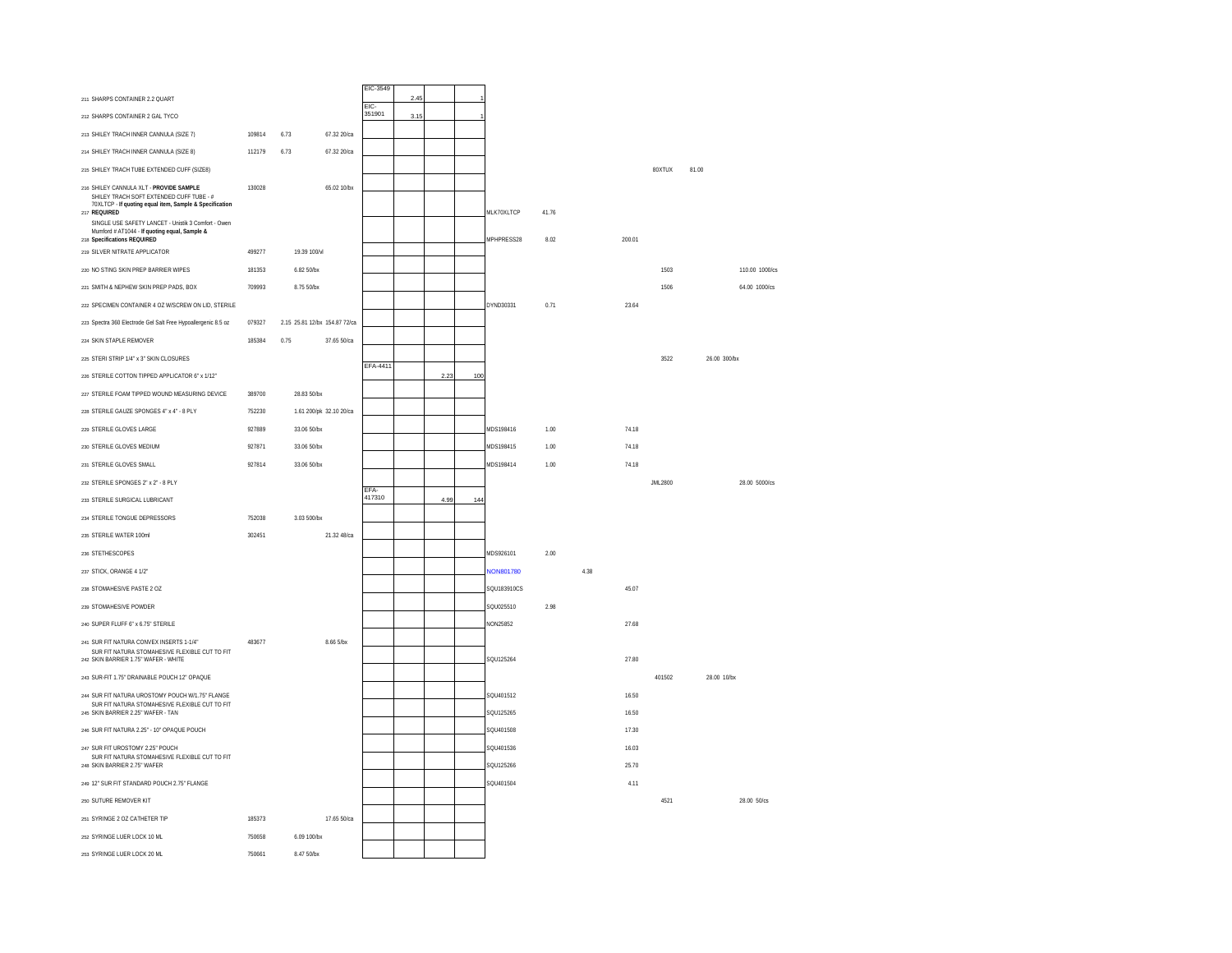|                                                                                                                                                                                                                       |        |                               |             | EIC-3549 |      |      |     |                        |       |      |                |         |                |
|-----------------------------------------------------------------------------------------------------------------------------------------------------------------------------------------------------------------------|--------|-------------------------------|-------------|----------|------|------|-----|------------------------|-------|------|----------------|---------|----------------|
| 211 SHARPS CONTAINER 2.2 QUART                                                                                                                                                                                        |        |                               |             | EIC-     | 2.45 |      |     |                        |       |      |                |         |                |
| 212 SHARPS CONTAINER 2 GAL TYCO                                                                                                                                                                                       |        |                               |             | 351901   | 3.15 |      |     |                        |       |      |                |         |                |
| 213 SHILEY TRACH INNER CANNULA (SIZE 7)                                                                                                                                                                               | 109814 | 6.73                          | 67.32 20/ca |          |      |      |     |                        |       |      |                |         |                |
| 214 SHILEY TRACH INNER CANNULA (SIZE 8)                                                                                                                                                                               | 112179 | 6.73                          | 67.32 20/ca |          |      |      |     |                        |       |      |                |         |                |
| 215 SHILEY TRACH TUBE EXTENDED CUFF (SIZE8)                                                                                                                                                                           |        |                               |             |          |      |      |     |                        |       |      |                | 80XTUX  | 81.00          |
| 216 SHILEY CANNULA XLT - PROVIDE SAMPLE<br>SHILEY TRACH SOFT EXTENDED CUFF TUBE - #<br>70XLTCP - If quoting equal item, Sample & Specification<br>217 REQUIRED<br>SINGLE USE SAFETY LANCET - Unistik 3 Comfort - Owen | 130028 |                               | 65.02 10/bx |          |      |      |     | MLK70XLTCP             | 41.76 |      |                |         |                |
| Mumford # AT1044 - If quoting equal, Sample &<br>218 Specifications REQUIRED                                                                                                                                          |        |                               |             |          |      |      |     | MPHPRESS28             | 8.02  |      | 200.01         |         |                |
| 219 SILVER NITRATE APPLICATOR                                                                                                                                                                                         | 499277 | 19.39 100/vl                  |             |          |      |      |     |                        |       |      |                |         |                |
| 220 NO STING SKIN PREP BARRIER WIPES                                                                                                                                                                                  | 181353 | 6.82 50/bx                    |             |          |      |      |     |                        |       |      |                | 1503    | 110.00 1000/cs |
| 221 SMITH & NEPHEW SKIN PREP PADS, BOX                                                                                                                                                                                | 709993 | 8.75 50/bx                    |             |          |      |      |     |                        |       |      |                | 1506    | 64.00 1000/cs  |
| 222 SPECIMEN CONTAINER 4 OZ W/SCREW ON LID. STERILE                                                                                                                                                                   |        |                               |             |          |      |      |     | DYND30331              | 0.71  |      | 23.64          |         |                |
| 223 Spectra 360 Electrode Gel Salt Free Hypoallergenic 8.5 oz                                                                                                                                                         | 079327 | 2.15 25.81 12/bx 154.87 72/ca |             |          |      |      |     |                        |       |      |                |         |                |
| 224 SKIN STAPLE REMOVER                                                                                                                                                                                               | 185384 | 0.75                          | 37.65 50/ca |          |      |      |     |                        |       |      |                |         |                |
| 225 STERI STRIP 1/4" x 3" SKIN CLOSURES                                                                                                                                                                               |        |                               |             | EFA-4411 |      |      |     |                        |       |      |                | 3522    | 26.00 300/bx   |
| 226 STERILE COTTON TIPPED APPLICATOR 6" x 1/12"                                                                                                                                                                       |        |                               |             |          |      | 2.23 | 100 |                        |       |      |                |         |                |
| 227 STERILE FOAM TIPPED WOUND MEASURING DEVICE                                                                                                                                                                        | 389700 | 28.83 50/bx                   |             |          |      |      |     |                        |       |      |                |         |                |
| 228 STERILE GAUZE SPONGES 4" x 4" - 8 PLY                                                                                                                                                                             | 752230 | 1.61 200/pk 32.10 20/ca       |             |          |      |      |     |                        |       |      |                |         |                |
| 229 STERILE GLOVES LARGE                                                                                                                                                                                              | 927889 | 33.06 50/bx                   |             |          |      |      |     | MDS198416              | 1.00  |      | 74.18          |         |                |
| 230 STERILE GLOVES MEDIUM                                                                                                                                                                                             | 927871 | 33.06 50/bx                   |             |          |      |      |     | MDS198415              | 1.00  |      | 74.18          |         |                |
| 231 STERILE GLOVES SMALL                                                                                                                                                                                              | 927814 | 33.06 50/bx                   |             |          |      |      |     | MDS198414              | 1.00  |      | 74.18          |         |                |
| 232 STERILE SPONGES 2" x 2" - 8 PLY                                                                                                                                                                                   |        |                               |             | FFA-     |      |      |     |                        |       |      |                | JML2800 | 28.00 5000/cs  |
| 233 STERILE SURGICAL LUBRICANT                                                                                                                                                                                        |        |                               |             | 417310   |      | 4.99 | 144 |                        |       |      |                |         |                |
| 234 STERILE TONGUE DEPRESSORS                                                                                                                                                                                         | 752038 | 3.03.500/bx                   |             |          |      |      |     |                        |       |      |                |         |                |
| 235 STERILE WATER 100ml                                                                                                                                                                                               | 302451 |                               | 21.32 48/ca |          |      |      |     |                        |       |      |                |         |                |
| 236 STETHESCOPES                                                                                                                                                                                                      |        |                               |             |          |      |      |     | MDS926101              | 2.00  |      |                |         |                |
| 237 STICK, ORANGE 4 1/2"                                                                                                                                                                                              |        |                               |             |          |      |      |     | NON801780              |       | 4.38 |                |         |                |
| 238 STOMAHESIVE PASTE 2 OZ                                                                                                                                                                                            |        |                               |             |          |      |      |     | SQU183910CS            |       |      | 45.07          |         |                |
| 239 STOMAHESIVE POWDER                                                                                                                                                                                                |        |                               |             |          |      |      |     | SQU025510              | 2.98  |      |                |         |                |
| 240 SUPER FLUFF 6" x 6.75" STERILE                                                                                                                                                                                    |        |                               |             |          |      |      |     | <b>NON25852</b>        |       |      | 27.68          |         |                |
| 241 SUR FIT NATURA CONVEX INSERTS 1-1/4"<br>SUR FIT NATURA STOMAHESIVE FLEXIBLE CUT TO FIT<br>242 SKIN BARRIER 1.75" WAFER - WHITE                                                                                    | 483677 |                               | 8.66 5/bx   |          |      |      |     | SQU125264              |       |      | 27.80          |         |                |
| 243 SUR-FIT 1.75" DRAINABLE POUCH 12" OPAQUE                                                                                                                                                                          |        |                               |             |          |      |      |     |                        |       |      |                | 401502  | 28.00 10/bx    |
| 244 SUR FIT NATURA UROSTOMY POUCH W/1.75" FLANGE<br>SUR FIT NATURA STOMAHESIVE FLEXIBLE CUT TO FIT                                                                                                                    |        |                               |             |          |      |      |     | SQU401512<br>SQU125265 |       |      | 16.50<br>16.50 |         |                |
| 245 SKIN BARRIER 2.25" WAFER - TAN                                                                                                                                                                                    |        |                               |             |          |      |      |     |                        |       |      |                |         |                |
| 246 SUR FIT NATURA 2.25" - 10" OPAQUE POUCH                                                                                                                                                                           |        |                               |             |          |      |      |     | SQU401508<br>SQU401536 |       |      | 17.30          |         |                |
| 247 SUR FIT UROSTOMY 2.25" POUCH<br>SUR FIT NATURA STOMAHESIVE FLEXIBLE CUT TO FIT<br>248 SKIN BARRIER 2.75" WAFER                                                                                                    |        |                               |             |          |      |      |     | SQU125266              |       |      | 16.03<br>25.70 |         |                |
| 249 12" SUR FIT STANDARD POUCH 2.75" FLANGE                                                                                                                                                                           |        |                               |             |          |      |      |     | SOLI401504             |       |      | 4 1 1          |         |                |
| 250 SUTURE REMOVER KIT                                                                                                                                                                                                |        |                               |             |          |      |      |     |                        |       |      |                | 4521    | 28.00 50/cs    |
| 251 SYRINGE 2 OZ CATHETER TIP                                                                                                                                                                                         | 185373 |                               | 17.65 50/ca |          |      |      |     |                        |       |      |                |         |                |
| 252 SYRINGE LUER LOCK 10 ML                                                                                                                                                                                           | 750658 | 6.09 100/bx                   |             |          |      |      |     |                        |       |      |                |         |                |
| 253 SYRINGE LUER LOCK 20 ML                                                                                                                                                                                           | 750661 | 8.47 50/bx                    |             |          |      |      |     |                        |       |      |                |         |                |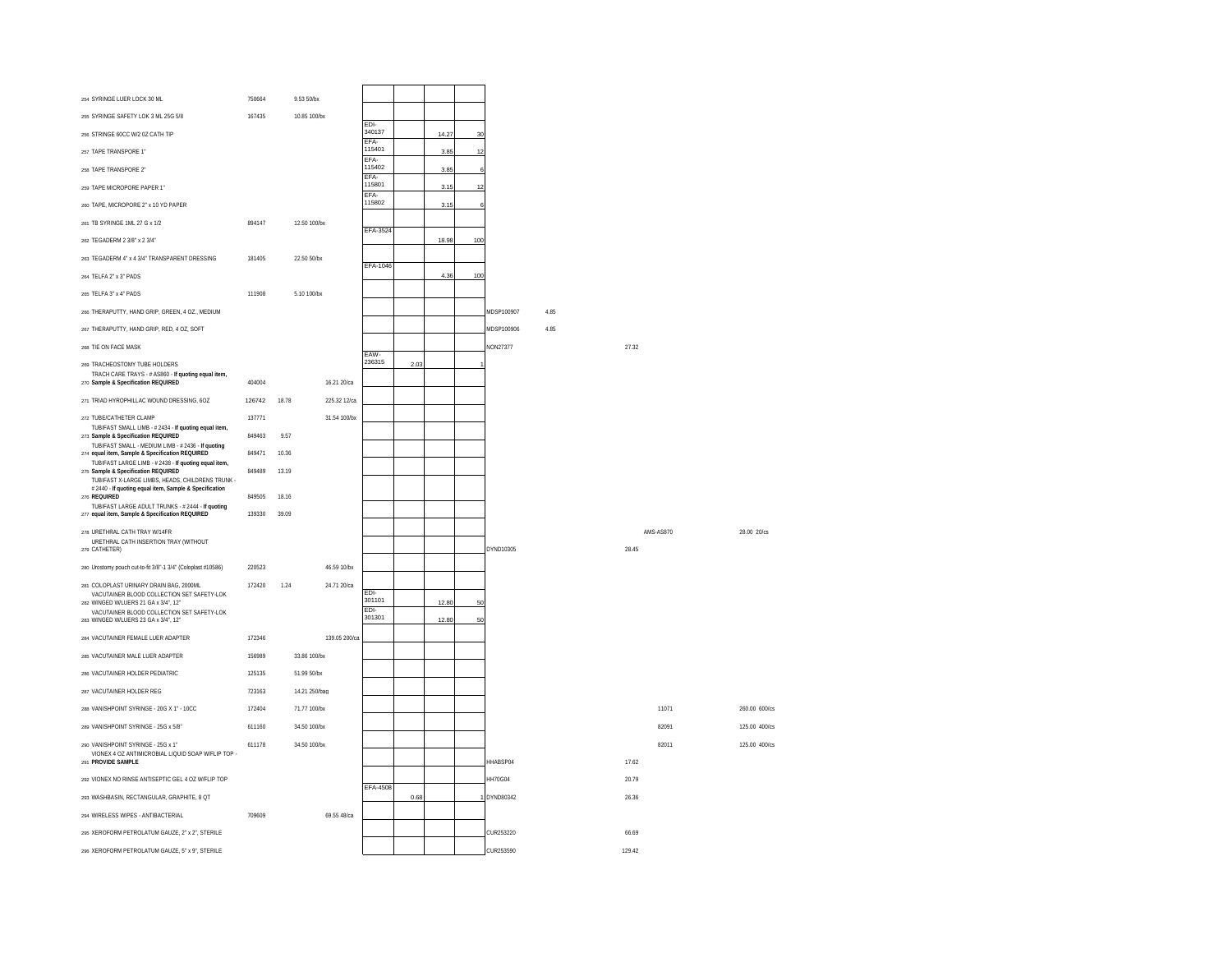| 254 SYRINGE LUER LOCK 30 ML                                                                                    | 750664           |       | 9.53 50/bx    |                            |                |      |       |     |                |     |        |           |               |
|----------------------------------------------------------------------------------------------------------------|------------------|-------|---------------|----------------------------|----------------|------|-------|-----|----------------|-----|--------|-----------|---------------|
| 255 SYRINGE SAFETY LOK 3 ML 25G 5/8                                                                            | 167435           |       | 10.85 100/bx  |                            | EDI-           |      |       |     |                |     |        |           |               |
| 256 STRINGE 60CC W/2 0Z CATH TIP                                                                               |                  |       |               |                            | 340137<br>FFA- |      | 14.27 | 30  |                |     |        |           |               |
| 257 TAPE TRANSPORE 1"                                                                                          |                  |       |               |                            | 115401<br>FFA- |      | 3.85  | 12  |                |     |        |           |               |
| 258 TAPE TRANSPORE 2"                                                                                          |                  |       |               |                            | 115402<br>FFA- |      | 3.85  |     |                |     |        |           |               |
| 259 TAPE MICROPORE PAPER 1"                                                                                    |                  |       |               |                            | 115801<br>EFA- |      | 3.15  | 12  |                |     |        |           |               |
| 260 TAPE, MICROPORE 2" x 10 YD PAPER                                                                           |                  |       |               |                            | 115802         |      | 3.15  |     |                |     |        |           |               |
| 261 TB SYRINGE 1ML 27 G x 1/2                                                                                  | 894147           |       | 12.50 100/bx  |                            | EFA-3524       |      |       |     |                |     |        |           |               |
| 262 TEGADERM 2 3/8" x 2 3/4"                                                                                   |                  |       |               |                            |                |      | 18.98 | 100 |                |     |        |           |               |
| 263 TEGADERM 4" x 4 3/4" TRANSPARENT DRESSING                                                                  | 181405           |       | 22.50 50/bx   |                            |                |      |       |     |                |     |        |           |               |
| 264 TELFA 2" x 3" PADS                                                                                         |                  |       |               |                            | EFA-1046       |      | 4.36  | 100 |                |     |        |           |               |
| 265 TELFA 3" x 4" PADS                                                                                         | 111908           |       | 5.10 100/bx   |                            |                |      |       |     |                |     |        |           |               |
| 266 THERAPLITTY, HAND GRIP, GREEN 4.07. MEDIUM                                                                 |                  |       |               |                            |                |      |       |     | MDSP100907     | 485 |        |           |               |
| 267 THERAPUTTY, HAND GRIP, RED, 4 OZ, SOFT                                                                     |                  |       |               |                            |                |      |       |     | MDSP100906     | 485 |        |           |               |
| 268 TIE ON FACE MASK                                                                                           |                  |       |               |                            | EAW-           |      |       |     | NON27377       |     | 27.32  |           |               |
| 269 TRACHEOSTOMY TUBE HOLDERS                                                                                  |                  |       |               |                            | 236315         | 2.03 |       |     |                |     |        |           |               |
| TRACH CARE TRAYS - # AS860 - If quoting equal item,<br>270 Sample & Specification REQUIRED                     | 404004           |       |               | 16.21 20/ca                |                |      |       |     |                |     |        |           |               |
| 271 TRIAD HYROPHILLAC WOUND DRESSING, 6OZ                                                                      | 126742           | 18.78 |               | 225.32 12/ca               |                |      |       |     |                |     |        |           |               |
| 272 TUBE/CATHETER CLAMP                                                                                        | 137771           |       |               | 31.54 100/bx               |                |      |       |     |                |     |        |           |               |
| TUBIFAST SMALL LIMB - #2434 - If quoting equal item,<br>273 Sample & Specification REQUIRED                    | 849463           | 9.57  |               |                            |                |      |       |     |                |     |        |           |               |
| TUBIFAST SMALL - MEDIUM LIMB - #2436 - If quoting<br>274 equal item, Sample & Specification REQUIRED           | 849471           | 10.36 |               |                            |                |      |       |     |                |     |        |           |               |
| TUBIFAST LARGE LIMB - #2438 - If quoting equal item,<br>275 Sample & Specification REQUIRED                    | 849489           | 13.19 |               |                            |                |      |       |     |                |     |        |           |               |
| TUBIFAST X-LARGE LIMBS, HEADS, CHILDRENS TRUNK -<br># 2440 - If quoting equal item, Sample & Specification     |                  |       |               |                            |                |      |       |     |                |     |        |           |               |
| 276 REQUIRED<br>TUBIFAST LARGE ADULT TRUNKS - # 2444 - If quoting                                              | 849505           | 18.16 |               |                            |                |      |       |     |                |     |        |           |               |
| 277 equal item, Sample & Specification REQUIRED                                                                | 139330           | 39.09 |               |                            |                |      |       |     |                |     |        |           |               |
| 278 URETHRAL CATH TRAY W/14FR<br>URETHRAL CATH INSERTION TRAY (WITHOUT<br>279 CATHETER)                        |                  |       |               |                            |                |      |       |     | DYND10305      |     | 28.45  | AMS-AS870 | 28.00 20/cs   |
|                                                                                                                | 220523           |       |               |                            |                |      |       |     |                |     |        |           |               |
| 280 Urostomy pouch cut-to-fit 3/8"-1 3/4" (Coloplast #10586)                                                   | 172420           |       |               | 46.59 10/bx<br>24 71 20/ca |                |      |       |     |                |     |        |           |               |
| 281 COLOPLAST URINARY DRAIN BAG, 2000ML<br>VACUTAINER BLOOD COLLECTION SET SAFETY-LOK                          |                  | 1 2 4 |               |                            | FDI-<br>301101 |      |       |     |                |     |        |           |               |
| 282 WINGED W/LUERS 21 GA x 3/4". 12"<br>VACUTAINER BLOOD COLLECTION SET SAFETY-LOK                             |                  |       |               |                            | EDI-<br>301301 |      | 12.80 | 50  |                |     |        |           |               |
| 283 WINGED W/LUERS 23 GA x 3/4", 12"                                                                           |                  |       |               |                            |                |      | 12.80 | 50  |                |     |        |           |               |
| 284 VACUTAINER FEMALE LUER ADAPTER                                                                             | 172346           |       |               | 139.05 200/ca              |                |      |       |     |                |     |        |           |               |
| 285 VACUTAINER MALE LUER ADAPTER                                                                               | 156989           |       | 33.86 100/bx  |                            |                |      |       |     |                |     |        |           |               |
| 286 VACUTAINER HOLDER PEDIATRIC                                                                                | 125135           |       | 51.99 50/bx   |                            |                |      |       |     |                |     |        |           |               |
| 287 VACUTAINER HOLDER REG<br>288 VANISHPOINT SYRINGE - 20G X 1" - 10CC.                                        | 723163<br>172404 |       | 14.21 250/bag |                            |                |      |       |     |                |     |        | 11071     |               |
|                                                                                                                |                  |       | 71 77 100/bx  |                            |                |      |       |     |                |     |        |           | 260.00 600/cs |
| 289 VANISHPOINT SYRINGE - 25G x 5/8"                                                                           | 611160           |       | 34.50 100/bx  |                            |                |      |       |     |                |     |        | 82091     | 125.00 400/cs |
| 290 VANISHPOINT SYRINGE - 25G x 1"<br>VIONEX 4 OZ ANTIMICROBIAL LIQUID SOAP W/FLIP TOP -<br>291 PROVIDE SAMPLE | 611178           |       | 34.50 100/bx  |                            |                |      |       |     | HHABSP04       |     | 17.62  | 82011     | 125.00 400/cs |
| 292 VIONEX NO RINSE ANTISEPTIC GEL 4 OZ W/FLIP TOP                                                             |                  |       |               |                            | EFA-4508       |      |       |     | <b>HH70G04</b> |     | 20.79  |           |               |
| 293 WASHBASIN, RECTANGULAR, GRAPHITE, 8 QT                                                                     |                  |       |               |                            |                | 0.68 |       |     | DYND80342      |     | 26.36  |           |               |
| 294 WIRELESS WIPES - ANTIBACTERIAL                                                                             | 709609           |       |               | 69.55 48/ca                |                |      |       |     |                |     |        |           |               |
| 295 XEROFORM PETROLATUM GAUZE, 2" x 2", STERILE                                                                |                  |       |               |                            |                |      |       |     | CUR253220      |     | 66.69  |           |               |
| 296 XEROFORM PETROLATUM GAUZE, 5" x 9", STERILE                                                                |                  |       |               |                            |                |      |       |     | CUR253590      |     | 129.42 |           |               |